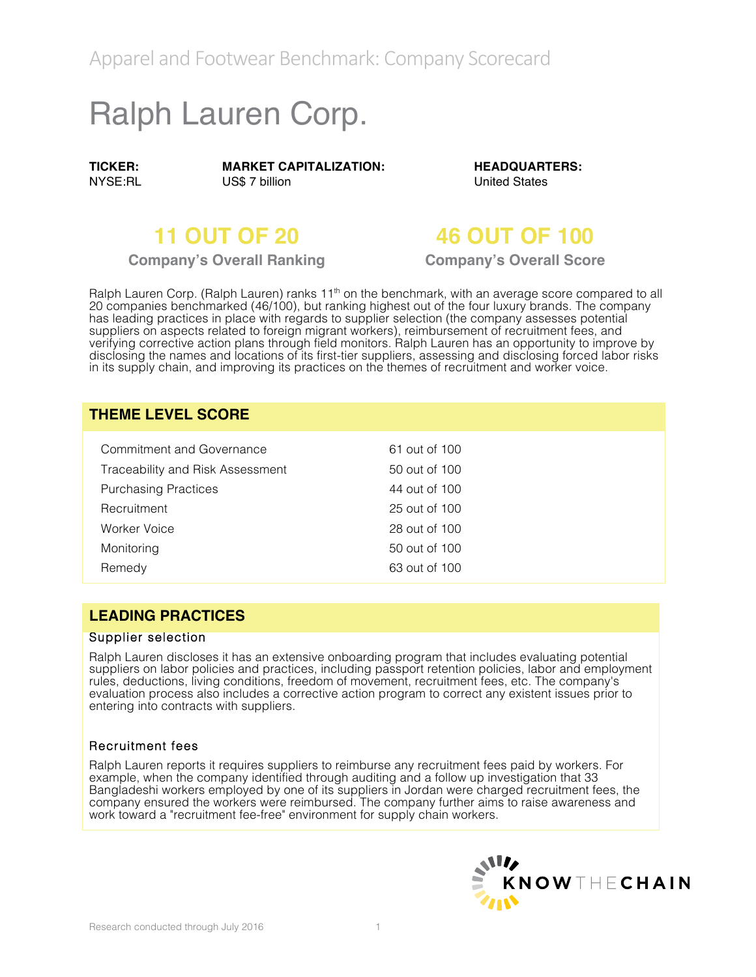Apparel and Footwear Benchmark: Company Scorecard

# Ralph Lauren Corp.

**TICKER:** NYSE:RL **MARKET CAPITALIZATION:** US\$ 7 billion

**HEADQUARTERS:** United States

## **11 OUT OF 20 46 OUT OF 100**

**Company's Overall Ranking Company's Overall Score**

Ralph Lauren Corp. (Ralph Lauren) ranks 11<sup>th</sup> on the benchmark, with an average score compared to all 20 companies benchmarked (46/100), but ranking highest out of the four luxury brands. The company has leading practices in place with regards to supplier selection (the company assesses potential suppliers on aspects related to foreign migrant workers), reimbursement of recruitment fees, and verifying corrective action plans through field monitors. Ralph Lauren has an opportunity to improve by disclosing the names and locations of its first-tier suppliers, assessing and disclosing forced labor risks in its supply chain, and improving its practices on the themes of recruitment and worker voice.

#### **THEME LEVEL SCORE**

| Commitment and Governance        | 61 out of 100 |
|----------------------------------|---------------|
| Traceability and Risk Assessment | 50 out of 100 |
| <b>Purchasing Practices</b>      | 44 out of 100 |
| Recruitment                      | 25 out of 100 |
| Worker Voice                     | 28 out of 100 |
| Monitoring                       | 50 out of 100 |
| Remedy                           | 63 out of 100 |

### **LEADING PRACTICES**

#### Supplier selection

Ralph Lauren discloses it has an extensive onboarding program that includes evaluating potential suppliers on labor policies and practices, including passport retention policies, labor and employment rules, deductions, living conditions, freedom of movement, recruitment fees, etc. The company's evaluation process also includes a corrective action program to correct any existent issues prior to entering into contracts with suppliers.

#### Recruitment fees

Ralph Lauren reports it requires suppliers to reimburse any recruitment fees paid by workers. For example, when the company identified through auditing and a follow up investigation that 33 Bangladeshi workers employed by one of its suppliers in Jordan were charged recruitment fees, the company ensured the workers were reimbursed. The company further aims to raise awareness and work toward a "recruitment fee-free" environment for supply chain workers.

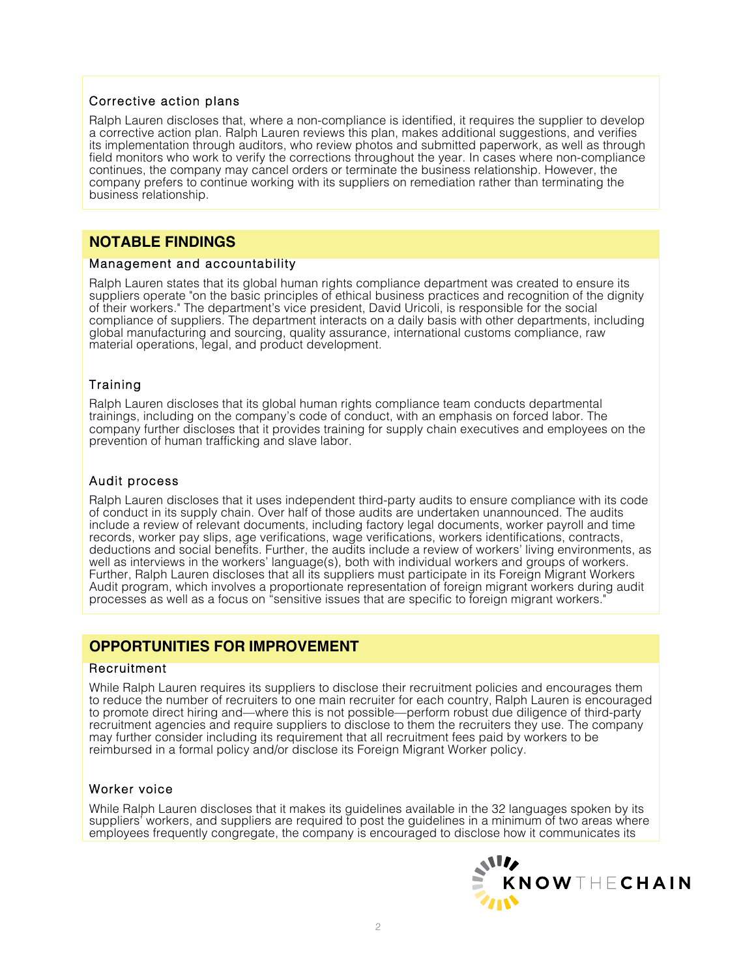#### Corrective action plans

Ralph Lauren discloses that, where a non-compliance is identified, it requires the supplier to develop a corrective action plan. Ralph Lauren reviews this plan, makes additional suggestions, and verifies its implementation through auditors, who review photos and submitted paperwork, as well as through field monitors who work to verify the corrections throughout the year. In cases where non-compliance continues, the company may cancel orders or terminate the business relationship. However, the company prefers to continue working with its suppliers on remediation rather than terminating the business relationship.

### **NOTABLE FINDINGS**

#### Management and accountability

Ralph Lauren states that its global human rights compliance department was created to ensure its suppliers operate "on the basic principles of ethical business practices and recognition of the dignity of their workers." The department's vice president, David Uricoli, is responsible for the social compliance of suppliers. The department interacts on a daily basis with other departments, including global manufacturing and sourcing, quality assurance, international customs compliance, raw material operations, legal, and product development.

#### Training

Ralph Lauren discloses that its global human rights compliance team conducts departmental trainings, including on the company's code of conduct, with an emphasis on forced labor. The company further discloses that it provides training for supply chain executives and employees on the prevention of human trafficking and slave labor.

#### Audit process

Ralph Lauren discloses that it uses independent third-party audits to ensure compliance with its code of conduct in its supply chain. Over half of those audits are undertaken unannounced. The audits include a review of relevant documents, including factory legal documents, worker payroll and time records, worker pay slips, age verifications, wage verifications, workers identifications, contracts, deductions and social benefits. Further, the audits include a review of workers' living environments, as well as interviews in the workers' language(s), both with individual workers and groups of workers. Further, Ralph Lauren discloses that all its suppliers must participate in its Foreign Migrant Workers Audit program, which involves a proportionate representation of foreign migrant workers during audit processes as well as a focus on "sensitive issues that are specific to foreign migrant workers."

### **OPPORTUNITIES FOR IMPROVEMENT**

#### Recruitment

While Ralph Lauren requires its suppliers to disclose their recruitment policies and encourages them to reduce the number of recruiters to one main recruiter for each country, Ralph Lauren is encouraged to promote direct hiring and—where this is not possible—perform robust due diligence of third-party recruitment agencies and require suppliers to disclose to them the recruiters they use. The company may further consider including its requirement that all recruitment fees paid by workers to be reimbursed in a formal policy and/or disclose its Foreign Migrant Worker policy.

#### Worker voice

While Ralph Lauren discloses that it makes its guidelines available in the 32 languages spoken by its suppliers' workers, and suppliers are required to post the guidelines in a minimum of two areas where employees frequently congregate, the company is encouraged to disclose how it communicates its